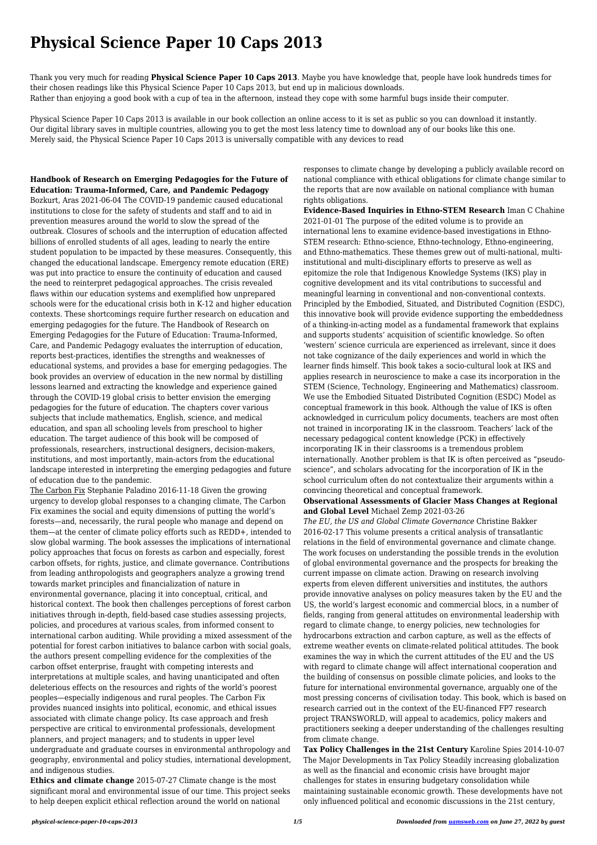# **Physical Science Paper 10 Caps 2013**

Thank you very much for reading **Physical Science Paper 10 Caps 2013**. Maybe you have knowledge that, people have look hundreds times for their chosen readings like this Physical Science Paper 10 Caps 2013, but end up in malicious downloads. Rather than enjoying a good book with a cup of tea in the afternoon, instead they cope with some harmful bugs inside their computer.

Physical Science Paper 10 Caps 2013 is available in our book collection an online access to it is set as public so you can download it instantly. Our digital library saves in multiple countries, allowing you to get the most less latency time to download any of our books like this one. Merely said, the Physical Science Paper 10 Caps 2013 is universally compatible with any devices to read

**Handbook of Research on Emerging Pedagogies for the Future of Education: Trauma-Informed, Care, and Pandemic Pedagogy** Bozkurt, Aras 2021-06-04 The COVID-19 pandemic caused educational institutions to close for the safety of students and staff and to aid in prevention measures around the world to slow the spread of the outbreak. Closures of schools and the interruption of education affected billions of enrolled students of all ages, leading to nearly the entire student population to be impacted by these measures. Consequently, this changed the educational landscape. Emergency remote education (ERE) was put into practice to ensure the continuity of education and caused the need to reinterpret pedagogical approaches. The crisis revealed flaws within our education systems and exemplified how unprepared schools were for the educational crisis both in K-12 and higher education contexts. These shortcomings require further research on education and emerging pedagogies for the future. The Handbook of Research on Emerging Pedagogies for the Future of Education: Trauma-Informed, Care, and Pandemic Pedagogy evaluates the interruption of education, reports best-practices, identifies the strengths and weaknesses of educational systems, and provides a base for emerging pedagogies. The book provides an overview of education in the new normal by distilling lessons learned and extracting the knowledge and experience gained through the COVID-19 global crisis to better envision the emerging pedagogies for the future of education. The chapters cover various subjects that include mathematics, English, science, and medical education, and span all schooling levels from preschool to higher education. The target audience of this book will be composed of professionals, researchers, instructional designers, decision-makers, institutions, and most importantly, main-actors from the educational landscape interested in interpreting the emerging pedagogies and future of education due to the pandemic.

The Carbon Fix Stephanie Paladino 2016-11-18 Given the growing urgency to develop global responses to a changing climate, The Carbon Fix examines the social and equity dimensions of putting the world's forests—and, necessarily, the rural people who manage and depend on them—at the center of climate policy efforts such as REDD+, intended to slow global warming. The book assesses the implications of international policy approaches that focus on forests as carbon and especially, forest carbon offsets, for rights, justice, and climate governance. Contributions from leading anthropologists and geographers analyze a growing trend towards market principles and financialization of nature in environmental governance, placing it into conceptual, critical, and historical context. The book then challenges perceptions of forest carbon initiatives through in-depth, field-based case studies assessing projects, policies, and procedures at various scales, from informed consent to international carbon auditing. While providing a mixed assessment of the potential for forest carbon initiatives to balance carbon with social goals, the authors present compelling evidence for the complexities of the carbon offset enterprise, fraught with competing interests and interpretations at multiple scales, and having unanticipated and often deleterious effects on the resources and rights of the world's poorest peoples—especially indigenous and rural peoples. The Carbon Fix provides nuanced insights into political, economic, and ethical issues associated with climate change policy. Its case approach and fresh perspective are critical to environmental professionals, development planners, and project managers; and to students in upper level undergraduate and graduate courses in environmental anthropology and geography, environmental and policy studies, international development, and indigenous studies.

**Ethics and climate change** 2015-07-27 Climate change is the most significant moral and environmental issue of our time. This project seeks to help deepen explicit ethical reflection around the world on national

responses to climate change by developing a publicly available record on national compliance with ethical obligations for climate change similar to the reports that are now available on national compliance with human rights obligations.

**Evidence-Based Inquiries in Ethno-STEM Research** Iman C Chahine 2021-01-01 The purpose of the edited volume is to provide an international lens to examine evidence-based investigations in Ethno-STEM research: Ethno-science, Ethno-technology, Ethno-engineering, and Ethno-mathematics. These themes grew out of multi-national, multiinstitutional and multi-disciplinary efforts to preserve as well as epitomize the role that Indigenous Knowledge Systems (IKS) play in cognitive development and its vital contributions to successful and meaningful learning in conventional and non-conventional contexts. Principled by the Embodied, Situated, and Distributed Cognition (ESDC), this innovative book will provide evidence supporting the embeddedness of a thinking-in-acting model as a fundamental framework that explains and supports students' acquisition of scientific knowledge. So often 'western' science curricula are experienced as irrelevant, since it does not take cognizance of the daily experiences and world in which the learner finds himself. This book takes a socio-cultural look at IKS and applies research in neuroscience to make a case its incorporation in the STEM (Science, Technology, Engineering and Mathematics) classroom. We use the Embodied Situated Distributed Cognition (ESDC) Model as conceptual framework in this book. Although the value of IKS is often acknowledged in curriculum policy documents, teachers are most often not trained in incorporating IK in the classroom. Teachers' lack of the necessary pedagogical content knowledge (PCK) in effectively incorporating IK in their classrooms is a tremendous problem internationally. Another problem is that IK is often perceived as "pseudoscience", and scholars advocating for the incorporation of IK in the school curriculum often do not contextualize their arguments within a convincing theoretical and conceptual framework.

## **Observational Assessments of Glacier Mass Changes at Regional and Global Level** Michael Zemp 2021-03-26

*The EU, the US and Global Climate Governance* Christine Bakker 2016-02-17 This volume presents a critical analysis of transatlantic relations in the field of environmental governance and climate change. The work focuses on understanding the possible trends in the evolution of global environmental governance and the prospects for breaking the current impasse on climate action. Drawing on research involving experts from eleven different universities and institutes, the authors provide innovative analyses on policy measures taken by the EU and the US, the world's largest economic and commercial blocs, in a number of fields, ranging from general attitudes on environmental leadership with regard to climate change, to energy policies, new technologies for hydrocarbons extraction and carbon capture, as well as the effects of extreme weather events on climate-related political attitudes. The book examines the way in which the current attitudes of the EU and the US with regard to climate change will affect international cooperation and the building of consensus on possible climate policies, and looks to the future for international environmental governance, arguably one of the most pressing concerns of civilisation today. This book, which is based on research carried out in the context of the EU-financed FP7 research project TRANSWORLD, will appeal to academics, policy makers and practitioners seeking a deeper understanding of the challenges resulting from climate change.

**Tax Policy Challenges in the 21st Century** Karoline Spies 2014-10-07 The Major Developments in Tax Policy Steadily increasing globalization as well as the financial and economic crisis have brought major challenges for states in ensuring budgetary consolidation while maintaining sustainable economic growth. These developments have not only influenced political and economic discussions in the 21st century,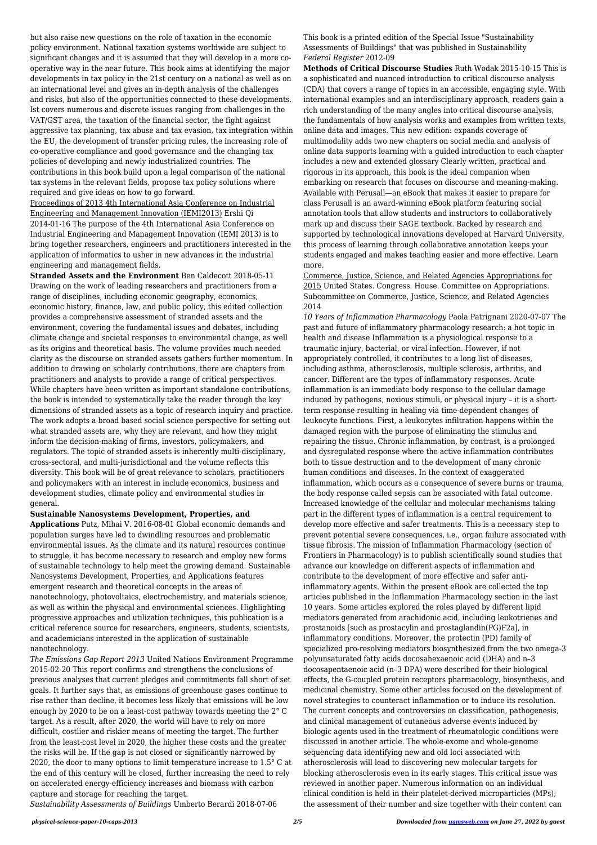but also raise new questions on the role of taxation in the economic policy environment. National taxation systems worldwide are subject to significant changes and it is assumed that they will develop in a more cooperative way in the near future. This book aims at identifying the major developments in tax policy in the 21st century on a national as well as on an international level and gives an in-depth analysis of the challenges and risks, but also of the opportunities connected to these developments. Ist covers numerous and discrete issues ranging from challenges in the VAT/GST area, the taxation of the financial sector, the fight against aggressive tax planning, tax abuse and tax evasion, tax integration within the EU, the development of transfer pricing rules, the increasing role of co-operative compliance and good governance and the changing tax policies of developing and newly industrialized countries. The contributions in this book build upon a legal comparison of the national tax systems in the relevant fields, propose tax policy solutions where required and give ideas on how to go forward.

Proceedings of 2013 4th International Asia Conference on Industrial Engineering and Management Innovation (IEMI2013) Ershi Qi 2014-01-16 The purpose of the 4th International Asia Conference on Industrial Engineering and Management Innovation (IEMI 2013) is to bring together researchers, engineers and practitioners interested in the application of informatics to usher in new advances in the industrial engineering and management fields.

**Stranded Assets and the Environment** Ben Caldecott 2018-05-11 Drawing on the work of leading researchers and practitioners from a range of disciplines, including economic geography, economics, economic history, finance, law, and public policy, this edited collection provides a comprehensive assessment of stranded assets and the environment, covering the fundamental issues and debates, including climate change and societal responses to environmental change, as well as its origins and theoretical basis. The volume provides much needed clarity as the discourse on stranded assets gathers further momentum. In addition to drawing on scholarly contributions, there are chapters from practitioners and analysts to provide a range of critical perspectives. While chapters have been written as important standalone contributions, the book is intended to systematically take the reader through the key dimensions of stranded assets as a topic of research inquiry and practice. The work adopts a broad based social science perspective for setting out what stranded assets are, why they are relevant, and how they might inform the decision-making of firms, investors, policymakers, and regulators. The topic of stranded assets is inherently multi-disciplinary, cross-sectoral, and multi-jurisdictional and the volume reflects this diversity. This book will be of great relevance to scholars, practitioners and policymakers with an interest in include economics, business and development studies, climate policy and environmental studies in general.

### **Sustainable Nanosystems Development, Properties, and**

**Applications** Putz, Mihai V. 2016-08-01 Global economic demands and population surges have led to dwindling resources and problematic environmental issues. As the climate and its natural resources continue to struggle, it has become necessary to research and employ new forms of sustainable technology to help meet the growing demand. Sustainable Nanosystems Development, Properties, and Applications features emergent research and theoretical concepts in the areas of nanotechnology, photovoltaics, electrochemistry, and materials science, as well as within the physical and environmental sciences. Highlighting progressive approaches and utilization techniques, this publication is a critical reference source for researchers, engineers, students, scientists, and academicians interested in the application of sustainable nanotechnology. *The Emissions Gap Report 2013* United Nations Environment Programme 2015-02-20 This report confirms and strengthens the conclusions of previous analyses that current pledges and commitments fall short of set goals. It further says that, as emissions of greenhouse gases continue to rise rather than decline, it becomes less likely that emissions will be low enough by 2020 to be on a least-cost pathway towards meeting the 2° C target. As a result, after 2020, the world will have to rely on more difficult, costlier and riskier means of meeting the target. The further from the least-cost level in 2020, the higher these costs and the greater the risks will be. If the gap is not closed or significantly narrowed by 2020, the door to many options to limit temperature increase to 1.5° C at the end of this century will be closed, further increasing the need to rely on accelerated energy-efficiency increases and biomass with carbon capture and storage for reaching the target.

*Sustainability Assessments of Buildings* Umberto Berardi 2018-07-06

This book is a printed edition of the Special Issue "Sustainability Assessments of Buildings" that was published in Sustainability *Federal Register* 2012-09

**Methods of Critical Discourse Studies** Ruth Wodak 2015-10-15 This is a sophisticated and nuanced introduction to critical discourse analysis (CDA) that covers a range of topics in an accessible, engaging style. With international examples and an interdisciplinary approach, readers gain a rich understanding of the many angles into critical discourse analysis, the fundamentals of how analysis works and examples from written texts, online data and images. This new edition: expands coverage of multimodality adds two new chapters on social media and analysis of online data supports learning with a guided introduction to each chapter includes a new and extended glossary Clearly written, practical and rigorous in its approach, this book is the ideal companion when embarking on research that focuses on discourse and meaning-making. Available with Perusall—an eBook that makes it easier to prepare for class Perusall is an award-winning eBook platform featuring social annotation tools that allow students and instructors to collaboratively mark up and discuss their SAGE textbook. Backed by research and supported by technological innovations developed at Harvard University, this process of learning through collaborative annotation keeps your students engaged and makes teaching easier and more effective. Learn more.

Commerce, Justice, Science, and Related Agencies Appropriations for 2015 United States. Congress. House. Committee on Appropriations. Subcommittee on Commerce, Justice, Science, and Related Agencies 2014

*10 Years of Inflammation Pharmacology* Paola Patrignani 2020-07-07 The past and future of inflammatory pharmacology research: a hot topic in health and disease Inflammation is a physiological response to a traumatic injury, bacterial, or viral infection. However, if not appropriately controlled, it contributes to a long list of diseases, including asthma, atherosclerosis, multiple sclerosis, arthritis, and cancer. Different are the types of inflammatory responses. Acute inflammation is an immediate body response to the cellular damage induced by pathogens, noxious stimuli, or physical injury – it is a shortterm response resulting in healing via time-dependent changes of leukocyte functions. First, a leukocytes infiltration happens within the damaged region with the purpose of eliminating the stimulus and repairing the tissue. Chronic inflammation, by contrast, is a prolonged and dysregulated response where the active inflammation contributes both to tissue destruction and to the development of many chronic human conditions and diseases. In the context of exaggerated inflammation, which occurs as a consequence of severe burns or trauma, the body response called sepsis can be associated with fatal outcome. Increased knowledge of the cellular and molecular mechanisms taking part in the different types of inflammation is a central requirement to develop more effective and safer treatments. This is a necessary step to prevent potential severe consequences, i.e., organ failure associated with tissue fibrosis. The mission of Inflammation Pharmacology (section of Frontiers in Pharmacology) is to publish scientifically sound studies that advance our knowledge on different aspects of inflammation and contribute to the development of more effective and safer antiinflammatory agents. Within the present eBook are collected the top articles published in the Inflammation Pharmacology section in the last 10 years. Some articles explored the roles played by different lipid mediators generated from arachidonic acid, including leukotrienes and prostanoids [such as prostacylin and prostaglandin(PG)F2a], in inflammatory conditions. Moreover, the protectin (PD) family of specialized pro-resolving mediators biosynthesized from the two omega-3 polyunsaturated fatty acids docosahexaenoic acid (DHA) and n–3 docosapentaenoic acid (n–3 DPA) were described for their biological effects, the G-coupled protein receptors pharmacology, biosynthesis, and medicinal chemistry. Some other articles focused on the development of novel strategies to counteract inflammation or to induce its resolution. The current concepts and controversies on classification, pathogenesis, and clinical management of cutaneous adverse events induced by biologic agents used in the treatment of rheumatologic conditions were discussed in another article. The whole-exome and whole-genome sequencing data identifying new and old loci associated with atherosclerosis will lead to discovering new molecular targets for blocking atherosclerosis even in its early stages. This critical issue was reviewed in another paper. Numerous information on an individual clinical condition is held in their platelet-derived microparticles (MPs); the assessment of their number and size together with their content can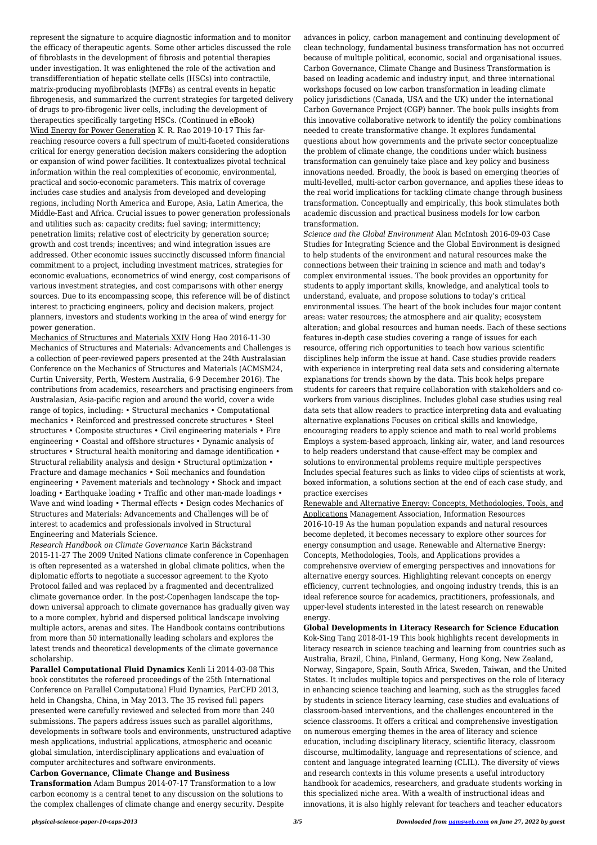represent the signature to acquire diagnostic information and to monitor the efficacy of therapeutic agents. Some other articles discussed the role of fibroblasts in the development of fibrosis and potential therapies under investigation. It was enlightened the role of the activation and transdifferentiation of hepatic stellate cells (HSCs) into contractile, matrix-producing myofibroblasts (MFBs) as central events in hepatic fibrogenesis, and summarized the current strategies for targeted delivery of drugs to pro-fibrogenic liver cells, including the development of therapeutics specifically targeting HSCs. (Continued in eBook) Wind Energy for Power Generation K. R. Rao 2019-10-17 This farreaching resource covers a full spectrum of multi-faceted considerations critical for energy generation decision makers considering the adoption or expansion of wind power facilities. It contextualizes pivotal technical information within the real complexities of economic, environmental, practical and socio-economic parameters. This matrix of coverage includes case studies and analysis from developed and developing regions, including North America and Europe, Asia, Latin America, the Middle-East and Africa. Crucial issues to power generation professionals and utilities such as: capacity credits; fuel saving; intermittency; penetration limits; relative cost of electricity by generation source; growth and cost trends; incentives; and wind integration issues are addressed. Other economic issues succinctly discussed inform financial commitment to a project, including investment matrices, strategies for economic evaluations, econometrics of wind energy, cost comparisons of various investment strategies, and cost comparisons with other energy sources. Due to its encompassing scope, this reference will be of distinct interest to practicing engineers, policy and decision makers, project planners, investors and students working in the area of wind energy for power generation.

Mechanics of Structures and Materials XXIV Hong Hao 2016-11-30 Mechanics of Structures and Materials: Advancements and Challenges is a collection of peer-reviewed papers presented at the 24th Australasian Conference on the Mechanics of Structures and Materials (ACMSM24, Curtin University, Perth, Western Australia, 6-9 December 2016). The contributions from academics, researchers and practising engineers from Australasian, Asia-pacific region and around the world, cover a wide range of topics, including: • Structural mechanics • Computational mechanics • Reinforced and prestressed concrete structures • Steel structures • Composite structures • Civil engineering materials • Fire engineering • Coastal and offshore structures • Dynamic analysis of structures • Structural health monitoring and damage identification • Structural reliability analysis and design • Structural optimization • Fracture and damage mechanics • Soil mechanics and foundation engineering • Pavement materials and technology • Shock and impact loading • Earthquake loading • Traffic and other man-made loadings • Wave and wind loading • Thermal effects • Design codes Mechanics of Structures and Materials: Advancements and Challenges will be of interest to academics and professionals involved in Structural Engineering and Materials Science.

*Research Handbook on Climate Governance* Karin Bäckstrand 2015-11-27 The 2009 United Nations climate conference in Copenhagen is often represented as a watershed in global climate politics, when the diplomatic efforts to negotiate a successor agreement to the Kyoto Protocol failed and was replaced by a fragmented and decentralized climate governance order. In the post-Copenhagen landscape the topdown universal approach to climate governance has gradually given way to a more complex, hybrid and dispersed political landscape involving multiple actors, arenas and sites. The Handbook contains contributions from more than 50 internationally leading scholars and explores the latest trends and theoretical developments of the climate governance scholarship. **Parallel Computational Fluid Dynamics** Kenli Li 2014-03-08 This book constitutes the refereed proceedings of the 25th International Conference on Parallel Computational Fluid Dynamics, ParCFD 2013, held in Changsha, China, in May 2013. The 35 revised full papers presented were carefully reviewed and selected from more than 240 submissions. The papers address issues such as parallel algorithms, developments in software tools and environments, unstructured adaptive mesh applications, industrial applications, atmospheric and oceanic global simulation, interdisciplinary applications and evaluation of computer architectures and software environments.

## **Carbon Governance, Climate Change and Business**

**Transformation** Adam Bumpus 2014-07-17 Transformation to a low carbon economy is a central tenet to any discussion on the solutions to the complex challenges of climate change and energy security. Despite advances in policy, carbon management and continuing development of clean technology, fundamental business transformation has not occurred because of multiple political, economic, social and organisational issues. Carbon Governance, Climate Change and Business Transformation is based on leading academic and industry input, and three international workshops focused on low carbon transformation in leading climate policy jurisdictions (Canada, USA and the UK) under the international Carbon Governance Project (CGP) banner. The book pulls insights from this innovative collaborative network to identify the policy combinations needed to create transformative change. It explores fundamental questions about how governments and the private sector conceptualize the problem of climate change, the conditions under which business transformation can genuinely take place and key policy and business innovations needed. Broadly, the book is based on emerging theories of multi-levelled, multi-actor carbon governance, and applies these ideas to the real world implications for tackling climate change through business transformation. Conceptually and empirically, this book stimulates both academic discussion and practical business models for low carbon transformation.

*Science and the Global Environment* Alan McIntosh 2016-09-03 Case Studies for Integrating Science and the Global Environment is designed to help students of the environment and natural resources make the connections between their training in science and math and today's complex environmental issues. The book provides an opportunity for students to apply important skills, knowledge, and analytical tools to understand, evaluate, and propose solutions to today's critical environmental issues. The heart of the book includes four major content areas: water resources; the atmosphere and air quality; ecosystem alteration; and global resources and human needs. Each of these sections features in-depth case studies covering a range of issues for each resource, offering rich opportunities to teach how various scientific disciplines help inform the issue at hand. Case studies provide readers with experience in interpreting real data sets and considering alternate explanations for trends shown by the data. This book helps prepare students for careers that require collaboration with stakeholders and coworkers from various disciplines. Includes global case studies using real data sets that allow readers to practice interpreting data and evaluating alternative explanations Focuses on critical skills and knowledge, encouraging readers to apply science and math to real world problems Employs a system-based approach, linking air, water, and land resources to help readers understand that cause-effect may be complex and solutions to environmental problems require multiple perspectives Includes special features such as links to video clips of scientists at work, boxed information, a solutions section at the end of each case study, and practice exercises

Renewable and Alternative Energy: Concepts, Methodologies, Tools, and Applications Management Association, Information Resources 2016-10-19 As the human population expands and natural resources become depleted, it becomes necessary to explore other sources for energy consumption and usage. Renewable and Alternative Energy: Concepts, Methodologies, Tools, and Applications provides a comprehensive overview of emerging perspectives and innovations for alternative energy sources. Highlighting relevant concepts on energy efficiency, current technologies, and ongoing industry trends, this is an ideal reference source for academics, practitioners, professionals, and upper-level students interested in the latest research on renewable energy.

**Global Developments in Literacy Research for Science Education** Kok-Sing Tang 2018-01-19 This book highlights recent developments in literacy research in science teaching and learning from countries such as Australia, Brazil, China, Finland, Germany, Hong Kong, New Zealand, Norway, Singapore, Spain, South Africa, Sweden, Taiwan, and the United States. It includes multiple topics and perspectives on the role of literacy in enhancing science teaching and learning, such as the struggles faced by students in science literacy learning, case studies and evaluations of classroom-based interventions, and the challenges encountered in the science classrooms. It offers a critical and comprehensive investigation on numerous emerging themes in the area of literacy and science education, including disciplinary literacy, scientific literacy, classroom discourse, multimodality, language and representations of science, and content and language integrated learning (CLIL). The diversity of views and research contexts in this volume presents a useful introductory handbook for academics, researchers, and graduate students working in this specialized niche area. With a wealth of instructional ideas and innovations, it is also highly relevant for teachers and teacher educators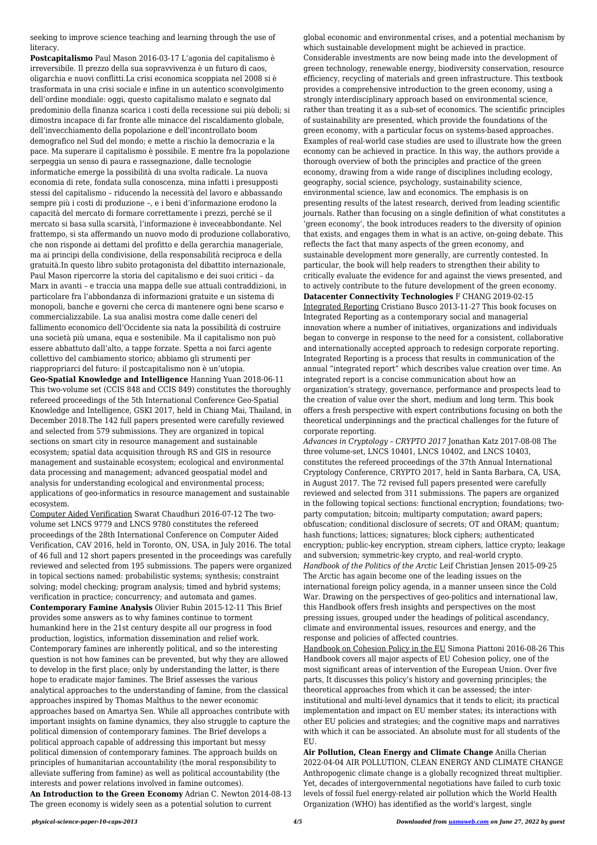seeking to improve science teaching and learning through the use of literacy.

**Postcapitalismo** Paul Mason 2016-03-17 L'agonia del capitalismo è irreversibile. Il prezzo della sua sopravvivenza è un futuro di caos, oligarchia e nuovi conflitti.La crisi economica scoppiata nel 2008 si è trasformata in una crisi sociale e infine in un autentico sconvolgimento dell'ordine mondiale: oggi, questo capitalismo malato e segnato dal predominio della finanza scarica i costi della recessione sui più deboli; si dimostra incapace di far fronte alle minacce del riscaldamento globale, dell'invecchiamento della popolazione e dell'incontrollato boom demografico nel Sud del mondo; e mette a rischio la democrazia e la pace. Ma superare il capitalismo è possibile. E mentre fra la popolazione serpeggia un senso di paura e rassegnazione, dalle tecnologie informatiche emerge la possibilità di una svolta radicale. La nuova economia di rete, fondata sulla conoscenza, mina infatti i presupposti stessi del capitalismo – riducendo la necessità del lavoro e abbassando sempre più i costi di produzione –, e i beni d'informazione erodono la capacità del mercato di formare correttamente i prezzi, perché se il mercato si basa sulla scarsità, l'informazione è inveceabbondante. Nel frattempo, si sta affermando un nuovo modo di produzione collaborativo, che non risponde ai dettami del profitto e della gerarchia manageriale, ma ai principi della condivisione, della responsabilità reciproca e della gratuità.In questo libro subito protagonista del dibattito internazionale, Paul Mason ripercorre la storia del capitalismo e dei suoi critici – da Marx in avanti – e traccia una mappa delle sue attuali contraddizioni, in particolare fra l'abbondanza di informazioni gratuite e un sistema di monopoli, banche e governi che cerca di mantenere ogni bene scarso e commercializzabile. La sua analisi mostra come dalle ceneri del fallimento economico dell'Occidente sia nata la possibilità di costruire una società più umana, equa e sostenibile. Ma il capitalismo non può essere abbattuto dall'alto, a tappe forzate. Spetta a noi farci agente collettivo del cambiamento storico; abbiamo gli strumenti per riappropriarci del futuro: il postcapitalismo non è un'utopia. **Geo-Spatial Knowledge and Intelligence** Hanning Yuan 2018-06-11 This two-volume set (CCIS 848 and CCIS 849) constitutes the thoroughly refereed proceedings of the 5th International Conference Geo-Spatial Knowledge and Intelligence, GSKI 2017, held in Chiang Mai, Thailand, in December 2018.The 142 full papers presented were carefully reviewed and selected from 579 submissions. They are organized in topical

sections on smart city in resource management and sustainable ecosystem; spatial data acquisition through RS and GIS in resource management and sustainable ecosystem; ecological and environmental data processing and management; advanced geospatial model and analysis for understanding ecological and environmental process; applications of geo-informatics in resource management and sustainable ecosystem.

Computer Aided Verification Swarat Chaudhuri 2016-07-12 The twovolume set LNCS 9779 and LNCS 9780 constitutes the refereed proceedings of the 28th International Conference on Computer Aided Verification, CAV 2016, held in Toronto, ON, USA, in July 2016. The total of 46 full and 12 short papers presented in the proceedings was carefully reviewed and selected from 195 submissions. The papers were organized in topical sections named: probabilistic systems; synthesis; constraint solving; model checking; program analysis; timed and hybrid systems; verification in practice; concurrency; and automata and games. **Contemporary Famine Analysis** Olivier Rubin 2015-12-11 This Brief provides some answers as to why famines continue to torment humankind here in the 21st century despite all our progress in food production, logistics, information dissemination and relief work. Contemporary famines are inherently political, and so the interesting question is not how famines can be prevented, but why they are allowed to develop in the first place; only by understanding the latter, is there hope to eradicate major famines. The Brief assesses the various analytical approaches to the understanding of famine, from the classical approaches inspired by Thomas Malthus to the newer economic approaches based on Amartya Sen. While all approaches contribute with important insights on famine dynamics, they also struggle to capture the political dimension of contemporary famines. The Brief develops a political approach capable of addressing this important but messy political dimension of contemporary famines. The approach builds on principles of humanitarian accountability (the moral responsibility to alleviate suffering from famine) as well as political accountability (the interests and power relations involved in famine outcomes). **An Introduction to the Green Economy** Adrian C. Newton 2014-08-13 The green economy is widely seen as a potential solution to current

global economic and environmental crises, and a potential mechanism by which sustainable development might be achieved in practice. Considerable investments are now being made into the development of green technology, renewable energy, biodiversity conservation, resource efficiency, recycling of materials and green infrastructure. This textbook provides a comprehensive introduction to the green economy, using a strongly interdisciplinary approach based on environmental science, rather than treating it as a sub-set of economics. The scientific principles of sustainability are presented, which provide the foundations of the green economy, with a particular focus on systems-based approaches. Examples of real-world case studies are used to illustrate how the green economy can be achieved in practice. In this way, the authors provide a thorough overview of both the principles and practice of the green economy, drawing from a wide range of disciplines including ecology, geography, social science, psychology, sustainability science, environmental science, law and economics. The emphasis is on presenting results of the latest research, derived from leading scientific journals. Rather than focusing on a single definition of what constitutes a 'green economy', the book introduces readers to the diversity of opinion that exists, and engages them in what is an active, on-going debate. This reflects the fact that many aspects of the green economy, and sustainable development more generally, are currently contested. In particular, the book will help readers to strengthen their ability to critically evaluate the evidence for and against the views presented, and to actively contribute to the future development of the green economy. **Datacenter Connectivity Technologies** F CHANG 2019-02-15 Integrated Reporting Cristiano Busco 2013-11-27 This book focuses on Integrated Reporting as a contemporary social and managerial innovation where a number of initiatives, organizations and individuals began to converge in response to the need for a consistent, collaborative and internationally accepted approach to redesign corporate reporting. Integrated Reporting is a process that results in communication of the annual "integrated report" which describes value creation over time. An integrated report is a concise communication about how an organization's strategy, governance, performance and prospects lead to the creation of value over the short, medium and long term. This book offers a fresh perspective with expert contributions focusing on both the theoretical underpinnings and the practical challenges for the future of corporate reporting.

*Advances in Cryptology – CRYPTO 2017* Jonathan Katz 2017-08-08 The three volume-set, LNCS 10401, LNCS 10402, and LNCS 10403, constitutes the refereed proceedings of the 37th Annual International Cryptology Conference, CRYPTO 2017, held in Santa Barbara, CA, USA, in August 2017. The 72 revised full papers presented were carefully reviewed and selected from 311 submissions. The papers are organized in the following topical sections: functional encryption; foundations; twoparty computation; bitcoin; multiparty computation; award papers; obfuscation; conditional disclosure of secrets; OT and ORAM; quantum; hash functions; lattices; signatures; block ciphers; authenticated encryption; public-key encryption, stream ciphers, lattice crypto; leakage and subversion; symmetric-key crypto, and real-world crypto. *Handbook of the Politics of the Arctic* Leif Christian Jensen 2015-09-25 The Arctic has again become one of the leading issues on the international foreign policy agenda, in a manner unseen since the Cold War. Drawing on the perspectives of geo-politics and international law, this Handbook offers fresh insights and perspectives on the most pressing issues, grouped under the headings of political ascendancy, climate and environmental issues, resources and energy, and the

response and policies of affected countries.

Handbook on Cohesion Policy in the EU Simona Piattoni 2016-08-26 This Handbook covers all major aspects of EU Cohesion policy, one of the most significant areas of intervention of the European Union. Over five parts, It discusses this policy's history and governing principles; the theoretical approaches from which it can be assessed; the interinstitutional and multi-level dynamics that it tends to elicit; its practical implementation and impact on EU member states; its interactions with other EU policies and strategies; and the cognitive maps and narratives with which it can be associated. An absolute must for all students of the EU.

**Air Pollution, Clean Energy and Climate Change** Anilla Cherian 2022-04-04 AIR POLLUTION, CLEAN ENERGY AND CLIMATE CHANGE Anthropogenic climate change is a globally recognized threat multiplier. Yet, decades of intergovernmental negotiations have failed to curb toxic levels of fossil fuel energy-related air pollution which the World Health Organization (WHO) has identified as the world's largest, single